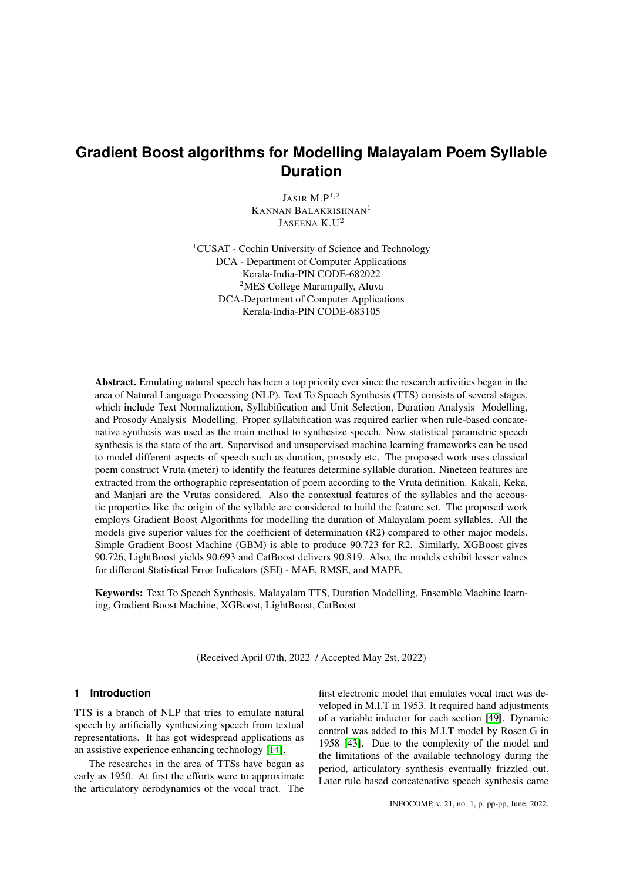# **Gradient Boost algorithms for Modelling Malayalam Poem Syllable Duration**

JASIR  $M.P^{1,2}$ KANNAN BALAKRISHNAN<sup>1</sup> JASEENA K.U<sup>2</sup>

<sup>1</sup>CUSAT - Cochin University of Science and Technology DCA - Department of Computer Applications Kerala-India-PIN CODE-682022 <sup>2</sup>MES College Marampally, Aluva DCA-Department of Computer Applications Kerala-India-PIN CODE-683105

Abstract. Emulating natural speech has been a top priority ever since the research activities began in the area of Natural Language Processing (NLP). Text To Speech Synthesis (TTS) consists of several stages, which include Text Normalization, Syllabification and Unit Selection, Duration Analysis Modelling, and Prosody Analysis Modelling. Proper syllabification was required earlier when rule-based concatenative synthesis was used as the main method to synthesize speech. Now statistical parametric speech synthesis is the state of the art. Supervised and unsupervised machine learning frameworks can be used to model different aspects of speech such as duration, prosody etc. The proposed work uses classical poem construct Vruta (meter) to identify the features determine syllable duration. Nineteen features are extracted from the orthographic representation of poem according to the Vruta definition. Kakali, Keka, and Manjari are the Vrutas considered. Also the contextual features of the syllables and the accoustic properties like the origin of the syllable are considered to build the feature set. The proposed work employs Gradient Boost Algorithms for modelling the duration of Malayalam poem syllables. All the models give superior values for the coefficient of determination (R2) compared to other major models. Simple Gradient Boost Machine (GBM) is able to produce 90.723 for R2. Similarly, XGBoost gives 90.726, LightBoost yields 90.693 and CatBoost delivers 90.819. Also, the models exhibit lesser values for different Statistical Error Indicators (SEI) - MAE, RMSE, and MAPE.

Keywords: Text To Speech Synthesis, Malayalam TTS, Duration Modelling, Ensemble Machine learning, Gradient Boost Machine, XGBoost, LightBoost, CatBoost

(Received April 07th, 2022 / Accepted May 2st, 2022)

# **1 Introduction**

TTS is a branch of NLP that tries to emulate natural speech by artificially synthesizing speech from textual representations. It has got widespread applications as an assistive experience enhancing technology [\[14\]](#page-9-0).

The researches in the area of TTSs have begun as early as 1950. At first the efforts were to approximate the articulatory aerodynamics of the vocal tract. The first electronic model that emulates vocal tract was developed in M.I.T in 1953. It required hand adjustments of a variable inductor for each section [\[49\]](#page-11-0). Dynamic control was added to this M.I.T model by Rosen.G in 1958 [\[43\]](#page-10-0). Due to the complexity of the model and the limitations of the available technology during the period, articulatory synthesis eventually frizzled out. Later rule based concatenative speech synthesis came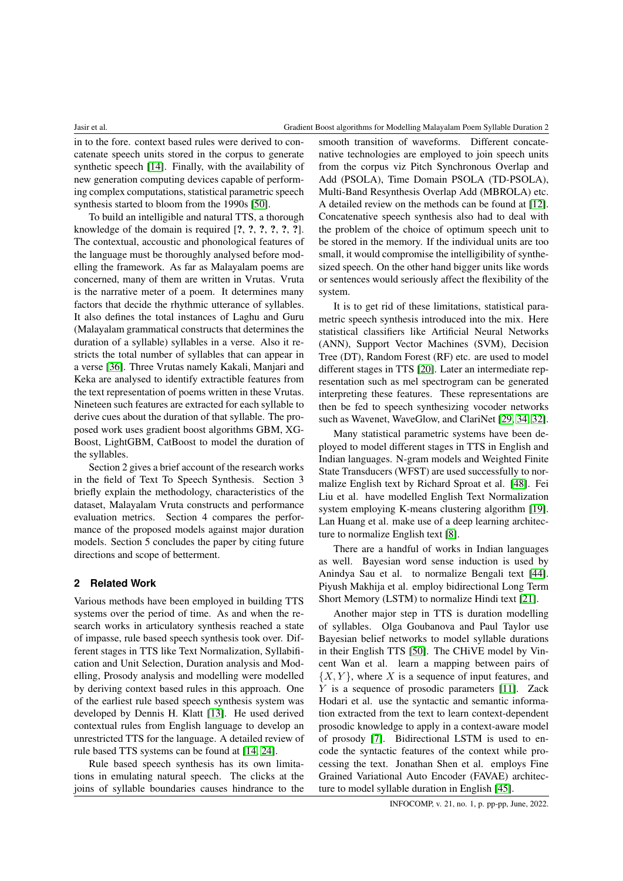in to the fore. context based rules were derived to concatenate speech units stored in the corpus to generate synthetic speech [\[14\]](#page-9-0). Finally, with the availability of new generation computing devices capable of performing complex computations, statistical parametric speech synthesis started to bloom from the 1990s [\[50\]](#page-11-1).

To build an intelligible and natural TTS, a thorough knowledge of the domain is required [?, ?, ?, ?, ?, ?]. The contextual, accoustic and phonological features of the language must be thoroughly analysed before modelling the framework. As far as Malayalam poems are concerned, many of them are written in Vrutas. Vruta is the narrative meter of a poem. It determines many factors that decide the rhythmic utterance of syllables. It also defines the total instances of Laghu and Guru (Malayalam grammatical constructs that determines the duration of a syllable) syllables in a verse. Also it restricts the total number of syllables that can appear in a verse [\[36\]](#page-10-1). Three Vrutas namely Kakali, Manjari and Keka are analysed to identify extractible features from the text representation of poems written in these Vrutas. Nineteen such features are extracted for each syllable to derive cues about the duration of that syllable. The proposed work uses gradient boost algorithms GBM, XG-Boost, LightGBM, CatBoost to model the duration of the syllables.

Section 2 gives a brief account of the research works in the field of Text To Speech Synthesis. Section 3 briefly explain the methodology, characteristics of the dataset, Malayalam Vruta constructs and performance evaluation metrics. Section 4 compares the performance of the proposed models against major duration models. Section 5 concludes the paper by citing future directions and scope of betterment.

# **2 Related Work**

Various methods have been employed in building TTS systems over the period of time. As and when the research works in articulatory synthesis reached a state of impasse, rule based speech synthesis took over. Different stages in TTS like Text Normalization, Syllabification and Unit Selection, Duration analysis and Modelling, Prosody analysis and modelling were modelled by deriving context based rules in this approach. One of the earliest rule based speech synthesis system was developed by Dennis H. Klatt [\[13\]](#page-9-1). He used derived contextual rules from English language to develop an unrestricted TTS for the language. A detailed review of rule based TTS systems can be found at [\[14,](#page-9-0) [24\]](#page-9-2).

Rule based speech synthesis has its own limitations in emulating natural speech. The clicks at the joins of syllable boundaries causes hindrance to the

smooth transition of waveforms. Different concatenative technologies are employed to join speech units from the corpus viz Pitch Synchronous Overlap and Add (PSOLA), Time Domain PSOLA (TD-PSOLA), Multi-Band Resynthesis Overlap Add (MBROLA) etc. A detailed review on the methods can be found at [\[12\]](#page-9-3). Concatenative speech synthesis also had to deal with the problem of the choice of optimum speech unit to be stored in the memory. If the individual units are too small, it would compromise the intelligibility of synthesized speech. On the other hand bigger units like words or sentences would seriously affect the flexibility of the system.

It is to get rid of these limitations, statistical parametric speech synthesis introduced into the mix. Here statistical classifiers like Artificial Neural Networks (ANN), Support Vector Machines (SVM), Decision Tree (DT), Random Forest (RF) etc. are used to model different stages in TTS [\[20\]](#page-9-4). Later an intermediate representation such as mel spectrogram can be generated interpreting these features. These representations are then be fed to speech synthesizing vocoder networks such as Wavenet, WaveGlow, and ClariNet [\[29,](#page-10-2) [34,](#page-10-3) [32\]](#page-10-4).

Many statistical parametric systems have been deployed to model different stages in TTS in English and Indian languages. N-gram models and Weighted Finite State Transducers (WFST) are used successfully to normalize English text by Richard Sproat et al. [\[48\]](#page-10-5). Fei Liu et al. have modelled English Text Normalization system employing K-means clustering algorithm [\[19\]](#page-9-5). Lan Huang et al. make use of a deep learning architecture to normalize English text [\[8\]](#page-9-6).

There are a handful of works in Indian languages as well. Bayesian word sense induction is used by Anindya Sau et al. to normalize Bengali text [\[44\]](#page-10-6). Piyush Makhija et al. employ bidirectional Long Term Short Memory (LSTM) to normalize Hindi text [\[21\]](#page-9-7).

Another major step in TTS is duration modelling of syllables. Olga Goubanova and Paul Taylor use Bayesian belief networks to model syllable durations in their English TTS [\[50\]](#page-11-1). The CHiVE model by Vincent Wan et al. learn a mapping between pairs of  $\{X, Y\}$ , where X is a sequence of input features, and Y is a sequence of prosodic parameters [\[11\]](#page-9-8). Zack Hodari et al. use the syntactic and semantic information extracted from the text to learn context-dependent prosodic knowledge to apply in a context-aware model of prosody [\[7\]](#page-9-9). Bidirectional LSTM is used to encode the syntactic features of the context while processing the text. Jonathan Shen et al. employs Fine Grained Variational Auto Encoder (FAVAE) architecture to model syllable duration in English [\[45\]](#page-10-7).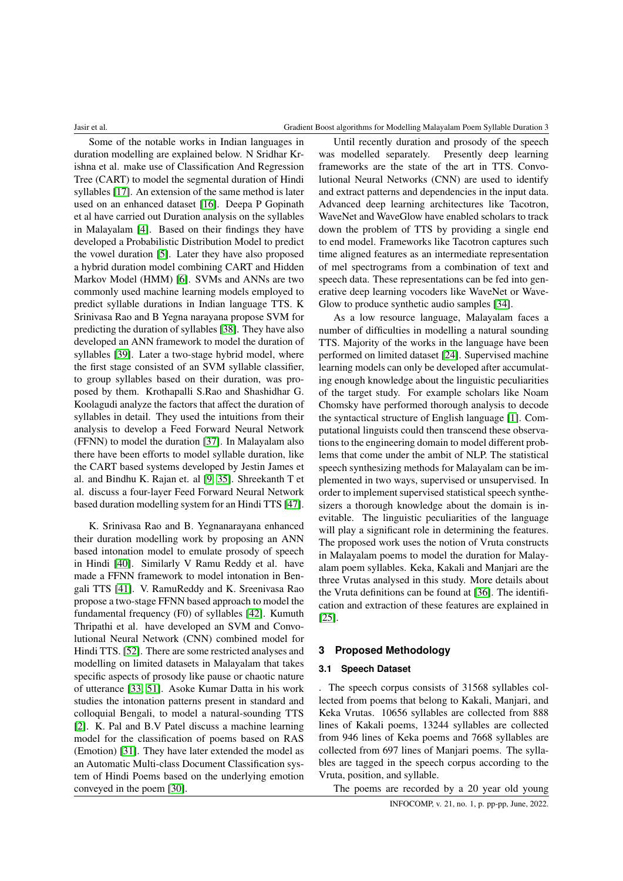#### Jasir et al. Gradient Boost algorithms for Modelling Malayalam Poem Syllable Duration 3

Some of the notable works in Indian languages in duration modelling are explained below. N Sridhar Krishna et al. make use of Classification And Regression Tree (CART) to model the segmental duration of Hindi syllables [\[17\]](#page-9-10). An extension of the same method is later used on an enhanced dataset [\[16\]](#page-9-11). Deepa P Gopinath et al have carried out Duration analysis on the syllables in Malayalam [\[4\]](#page-8-0). Based on their findings they have developed a Probabilistic Distribution Model to predict the vowel duration [\[5\]](#page-9-12). Later they have also proposed a hybrid duration model combining CART and Hidden Markov Model (HMM) [\[6\]](#page-9-13). SVMs and ANNs are two commonly used machine learning models employed to predict syllable durations in Indian language TTS. K Srinivasa Rao and B Yegna narayana propose SVM for predicting the duration of syllables [\[38\]](#page-10-8). They have also developed an ANN framework to model the duration of syllables [\[39\]](#page-10-9). Later a two-stage hybrid model, where the first stage consisted of an SVM syllable classifier, to group syllables based on their duration, was proposed by them. Krothapalli S.Rao and Shashidhar G. Koolagudi analyze the factors that affect the duration of syllables in detail. They used the intuitions from their analysis to develop a Feed Forward Neural Network (FFNN) to model the duration [\[37\]](#page-10-10). In Malayalam also there have been efforts to model syllable duration, like the CART based systems developed by Jestin James et al. and Bindhu K. Rajan et. al [\[9,](#page-9-14) [35\]](#page-10-11). Shreekanth T et al. discuss a four-layer Feed Forward Neural Network based duration modelling system for an Hindi TTS [\[47\]](#page-10-12).

K. Srinivasa Rao and B. Yegnanarayana enhanced their duration modelling work by proposing an ANN based intonation model to emulate prosody of speech in Hindi [\[40\]](#page-10-13). Similarly V Ramu Reddy et al. have made a FFNN framework to model intonation in Bengali TTS [\[41\]](#page-10-14). V. RamuReddy and K. Sreenivasa Rao propose a two-stage FFNN based approach to model the fundamental frequency (F0) of syllables [\[42\]](#page-10-15). Kumuth Thripathi et al. have developed an SVM and Convolutional Neural Network (CNN) combined model for Hindi TTS. [\[52\]](#page-11-2). There are some restricted analyses and modelling on limited datasets in Malayalam that takes specific aspects of prosody like pause or chaotic nature of utterance [\[33,](#page-10-16) [51\]](#page-11-3). Asoke Kumar Datta in his work studies the intonation patterns present in standard and colloquial Bengali, to model a natural-sounding TTS [\[2\]](#page-8-1). K. Pal and B.V Patel discuss a machine learning model for the classification of poems based on RAS (Emotion) [\[31\]](#page-10-17). They have later extended the model as an Automatic Multi-class Document Classification system of Hindi Poems based on the underlying emotion conveyed in the poem [\[30\]](#page-10-18).

Until recently duration and prosody of the speech was modelled separately. Presently deep learning frameworks are the state of the art in TTS. Convolutional Neural Networks (CNN) are used to identify and extract patterns and dependencies in the input data. Advanced deep learning architectures like Tacotron, WaveNet and WaveGlow have enabled scholars to track down the problem of TTS by providing a single end to end model. Frameworks like Tacotron captures such time aligned features as an intermediate representation of mel spectrograms from a combination of text and speech data. These representations can be fed into generative deep learning vocoders like WaveNet or Wave-Glow to produce synthetic audio samples [\[34\]](#page-10-3).

As a low resource language, Malayalam faces a number of difficulties in modelling a natural sounding TTS. Majority of the works in the language have been performed on limited dataset [\[24\]](#page-9-2). Supervised machine learning models can only be developed after accumulating enough knowledge about the linguistic peculiarities of the target study. For example scholars like Noam Chomsky have performed thorough analysis to decode the syntactical structure of English language [\[1\]](#page-8-2). Computational linguists could then transcend these observations to the engineering domain to model different problems that come under the ambit of NLP. The statistical speech synthesizing methods for Malayalam can be implemented in two ways, supervised or unsupervised. In order to implement supervised statistical speech synthesizers a thorough knowledge about the domain is inevitable. The linguistic peculiarities of the language will play a significant role in determining the features. The proposed work uses the notion of Vruta constructs in Malayalam poems to model the duration for Malayalam poem syllables. Keka, Kakali and Manjari are the three Vrutas analysed in this study. More details about the Vruta definitions can be found at [\[36\]](#page-10-1). The identification and extraction of these features are explained in [\[25\]](#page-9-15).

# **3 Proposed Methodology**

### **3.1 Speech Dataset**

. The speech corpus consists of 31568 syllables collected from poems that belong to Kakali, Manjari, and Keka Vrutas. 10656 syllables are collected from 888 lines of Kakali poems, 13244 syllables are collected from 946 lines of Keka poems and 7668 syllables are collected from 697 lines of Manjari poems. The syllables are tagged in the speech corpus according to the Vruta, position, and syllable.

The poems are recorded by a 20 year old young INFOCOMP, v. 21, no. 1, p. pp-pp, June, 2022.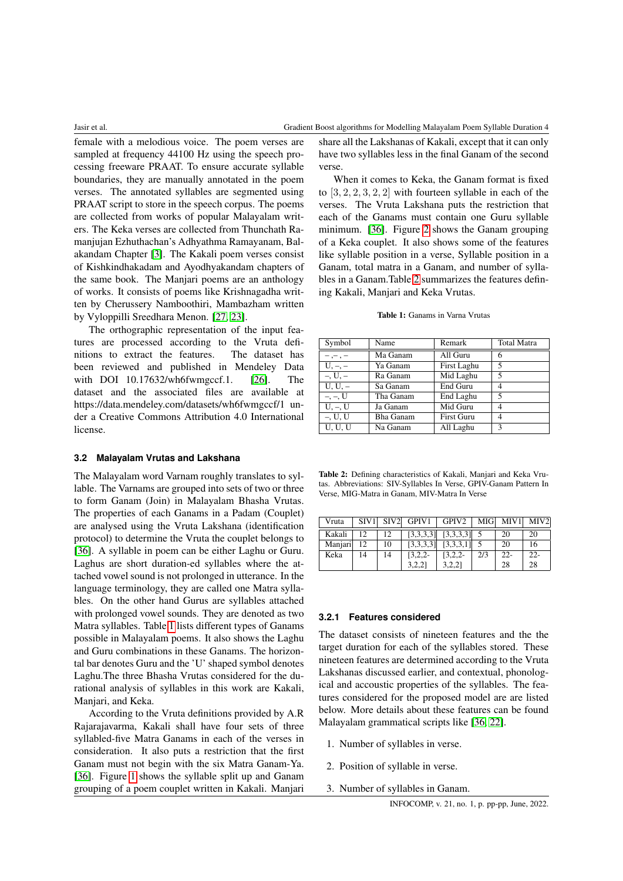female with a melodious voice. The poem verses are sampled at frequency 44100 Hz using the speech processing freeware PRAAT. To ensure accurate syllable boundaries, they are manually annotated in the poem verses. The annotated syllables are segmented using PRAAT script to store in the speech corpus. The poems are collected from works of popular Malayalam writers. The Keka verses are collected from Thunchath Ramanjujan Ezhuthachan's Adhyathma Ramayanam, Balakandam Chapter [\[3\]](#page-8-3). The Kakali poem verses consist of Kishkindhakadam and Ayodhyakandam chapters of the same book. The Manjari poems are an anthology of works. It consists of poems like Krishnagadha written by Cherussery Namboothiri, Mambazham written by Vyloppilli Sreedhara Menon. [\[27,](#page-9-16) [23\]](#page-9-17).

The orthographic representation of the input features are processed according to the Vruta definitions to extract the features. The dataset has been reviewed and published in Mendeley Data with DOI 10.17632/wh6fwmgccf.1. [\[26\]](#page-9-18). The dataset and the associated files are available at https://data.mendeley.com/datasets/wh6fwmgccf/1 under a Creative Commons Attribution 4.0 International license.

#### **3.2 Malayalam Vrutas and Lakshana**

The Malayalam word Varnam roughly translates to syllable. The Varnams are grouped into sets of two or three to form Ganam (Join) in Malayalam Bhasha Vrutas. The properties of each Ganams in a Padam (Couplet) are analysed using the Vruta Lakshana (identification protocol) to determine the Vruta the couplet belongs to [\[36\]](#page-10-1). A syllable in poem can be either Laghu or Guru. Laghus are short duration-ed syllables where the attached vowel sound is not prolonged in utterance. In the language terminology, they are called one Matra syllables. On the other hand Gurus are syllables attached with prolonged vowel sounds. They are denoted as two Matra syllables. Table [1](#page-3-0) lists different types of Ganams possible in Malayalam poems. It also shows the Laghu and Guru combinations in these Ganams. The horizontal bar denotes Guru and the 'U' shaped symbol denotes Laghu.The three Bhasha Vrutas considered for the durational analysis of syllables in this work are Kakali, Manjari, and Keka.

According to the Vruta definitions provided by A.R Rajarajavarma, Kakali shall have four sets of three syllabled-five Matra Ganams in each of the verses in consideration. It also puts a restriction that the first Ganam must not begin with the six Matra Ganam-Ya. [\[36\]](#page-10-1). Figure [1](#page-4-0) shows the syllable split up and Ganam grouping of a poem couplet written in Kakali. Manjari

share all the Lakshanas of Kakali, except that it can only have two syllables less in the final Ganam of the second verse.

When it comes to Keka, the Ganam format is fixed to  $[3, 2, 2, 3, 2, 2]$  with fourteen syllable in each of the verses. The Vruta Lakshana puts the restriction that each of the Ganams must contain one Guru syllable minimum. [\[36\]](#page-10-1). Figure [2](#page-4-1) shows the Ganam grouping of a Keka couplet. It also shows some of the features like syllable position in a verse, Syllable position in a Ganam, total matra in a Ganam, and number of syllables in a Ganam.Table [2](#page-3-1) summarizes the features defining Kakali, Manjari and Keka Vrutas.

<span id="page-3-0"></span>

| Symbol       | Name             | Remark            | <b>Total Matra</b> |
|--------------|------------------|-------------------|--------------------|
| $-,-,-$      | Ma Ganam         | All Guru          | 6                  |
| $U, -, -$    | Ya Ganam         | First Laghu       | 5                  |
| $-$ , U, $-$ | Ra Ganam         | Mid Laghu         | 5                  |
| $U, U, -$    | Sa Ganam         | End Guru          | 4                  |
| $-,-, U$     | Tha Ganam        | End Laghu         | 5                  |
| $U, -, U$    | Ja Ganam         | Mid Guru          | 4                  |
| $-$ , U, U   | <b>Bha Ganam</b> | <b>First Guru</b> | 4                  |
| U, U, U      | Na Ganam         | All Laghu         | 3                  |

<span id="page-3-1"></span>Table 2: Defining characteristics of Kakali, Manjari and Keka Vrutas. Abbreviations: SIV-Syllables In Verse, GPIV-Ganam Pattern In Verse, MIG-Matra in Ganam, MIV-Matra In Verse

| Vruta   | SIV1 |    | SIV2 GPIV1 | GPIV2     | MIG | MIV1   | MIV <sub>2</sub> |
|---------|------|----|------------|-----------|-----|--------|------------------|
| Kakali  | 12   | 12 | [3,3,3,3]  | [3,3,3,3] |     | 20     | 20               |
| Manjari | 12.  | 10 | [3,3,3,3]  | [3,3,3,1] |     | 20     | 16               |
| Keka    | 14   | 14 | $13,2,2-$  | $[3,2,2-$ | 2/3 | $22 -$ | $22 -$           |
|         |      |    | 3,2,21     | 3,2,2]    |     | 28     | 28               |

#### **3.2.1 Features considered**

The dataset consists of nineteen features and the the target duration for each of the syllables stored. These nineteen features are determined according to the Vruta Lakshanas discussed earlier, and contextual, phonological and accoustic properties of the syllables. The features considered for the proposed model are are listed below. More details about these features can be found Malayalam grammatical scripts like [\[36,](#page-10-1) [22\]](#page-9-19).

- 1. Number of syllables in verse.
- 2. Position of syllable in verse.
- 3. Number of syllables in Ganam.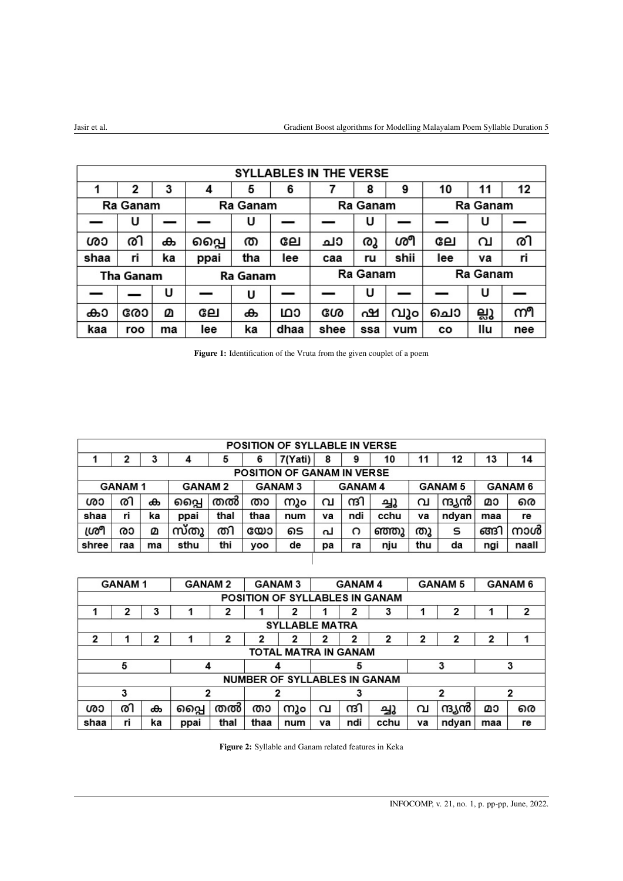<span id="page-4-0"></span>

|      | SYLLABLES IN THE VERSE |    |      |          |      |      |          |      |     |          |     |
|------|------------------------|----|------|----------|------|------|----------|------|-----|----------|-----|
|      | 2                      | 3  | 4    | 5        | 6    |      | 8        | 9    | 10  |          | 12  |
|      | Ra Ganam               |    |      | Ra Ganam |      |      | Ra Ganam |      |     | Ra Ganam |     |
|      | U                      |    |      | U        |      |      | U        |      |     | U        |     |
| ശാ   | രി                     | ക  | പ്പൈ | ത        | ലേ   | ചാ   | രൂ       | ശീ   | ലേ  | വ        | രി  |
| shaa | ri                     | ka | ppai | tha      | lee  | caa  | ru       | shii | lee | ٧a       | ri  |
|      | Tha Ganam              |    |      | Ra Ganam |      |      | Ra Ganam |      |     | Ra Ganam |     |
|      |                        | U  |      | U        |      |      | υ        |      |     | U        |     |
| കാ   | രോ                     | മ  | ലേ   | ക        | ഥാ   | ശേ   | ഷ        | വും  | ചൊ  | ല്ലു     | നീ  |
| kaa  | roo                    | ma | lee  | ka       | dhaa | shee | ssa      | vum  | cо  | llu      | nee |

|  |  | Figure 1: Identification of the Vruta from the given couplet of a poem |  |  |  |  |  |  |  |  |
|--|--|------------------------------------------------------------------------|--|--|--|--|--|--|--|--|
|--|--|------------------------------------------------------------------------|--|--|--|--|--|--|--|--|

<span id="page-4-1"></span>

|       |               |    |               |      |      | <b>POSITION OF SYLLABLE IN VERSE</b> |    |               |      |     |                |     |                |
|-------|---------------|----|---------------|------|------|--------------------------------------|----|---------------|------|-----|----------------|-----|----------------|
|       | 2             | 3  |               | 5    | 6    | 7(Yati)                              | 8  | 9             | 10   | 11  | 12             | 13  | 14             |
|       |               |    |               |      |      | <b>POSITION OF GANAM IN VERSE</b>    |    |               |      |     |                |     |                |
|       | <b>GANAM1</b> |    | <b>GANAM2</b> |      |      | <b>GANAM3</b>                        |    | <b>GANAM4</b> |      |     | <b>GANAM 5</b> |     | <b>GANAM 6</b> |
| ശാ    | രി            | ക  | പ്പൈ          | തൽ   | താ   | നും                                  | വ  | ന്ദ്രി        | ച്ചു | വ   | ന്ദ്യൻ         | മാ  | രെ             |
| shaa  | ri            | ka | ppai          | thal | thaa | num                                  | ٧a | ndi           | cchu | ٧a  | ndyan          | maa | re             |
| ശ്രീ  | രാ            | മ  | സ്തു          | തി   | യോ   | ടെ                                   | പ  | റ             | ഞ്ഞു | തു  | s              | ങ്ങ | നാൾ            |
| shree | raa           | ma | sthu          | thi  | voo  | de                                   | рa | ra            | nju  | thu | da             | ngi | naall          |
|       |               |    |               |      |      |                                      |    |               |      |     |                |     |                |

|      | <b>GANAM1</b>                                                                                                                                                                             |    | <b>GANAM3</b><br><b>GANAM 5</b><br><b>GANAM2</b><br><b>GANAM4</b> |      |                                     |     |    |        | <b>GANAM 6</b> |    |        |     |    |
|------|-------------------------------------------------------------------------------------------------------------------------------------------------------------------------------------------|----|-------------------------------------------------------------------|------|-------------------------------------|-----|----|--------|----------------|----|--------|-----|----|
|      | POSITION OF SYLLABLES IN GANAM<br>3<br>2<br>2<br>2<br>2<br>2<br>2<br>3<br><b>SYLLABLE MATRA</b><br>$\mathbf{2}$<br>2<br>2<br>2<br>2<br>2<br>2<br>2<br>2<br>2<br>1<br>TOTAL MATRA IN GANAM |    |                                                                   |      |                                     |     |    |        |                |    |        |     |    |
|      |                                                                                                                                                                                           |    |                                                                   |      |                                     |     |    |        |                |    |        |     |    |
|      |                                                                                                                                                                                           |    |                                                                   |      |                                     |     |    |        |                |    |        |     |    |
| 2    |                                                                                                                                                                                           |    |                                                                   |      |                                     |     |    |        |                |    |        |     |    |
|      |                                                                                                                                                                                           |    |                                                                   |      |                                     |     |    |        |                |    |        |     |    |
|      | 5                                                                                                                                                                                         |    | 4                                                                 |      |                                     |     |    | 5      |                |    | 3      |     | 3  |
|      |                                                                                                                                                                                           |    |                                                                   |      | <b>NUMBER OF SYLLABLES IN GANAM</b> |     |    |        |                |    |        |     |    |
|      | 3<br>$\overline{2}$<br>2<br>2<br>2<br>3                                                                                                                                                   |    |                                                                   |      |                                     |     |    |        |                |    |        |     |    |
| ശാ   | രി                                                                                                                                                                                        | ക  | പ്പൈ                                                              | തൽ   | താ                                  | നും | വ  | ന്ദ്രി | ച്ചു           | വ  | ന്ദ്യൻ | മാ  | രെ |
| shaa | ri                                                                                                                                                                                        | ka | ppai                                                              | thal | thaa                                | num | va | ndi    | cchu           | ٧a | ndyan  | maa | re |

Figure 2: Syllable and Ganam related features in Keka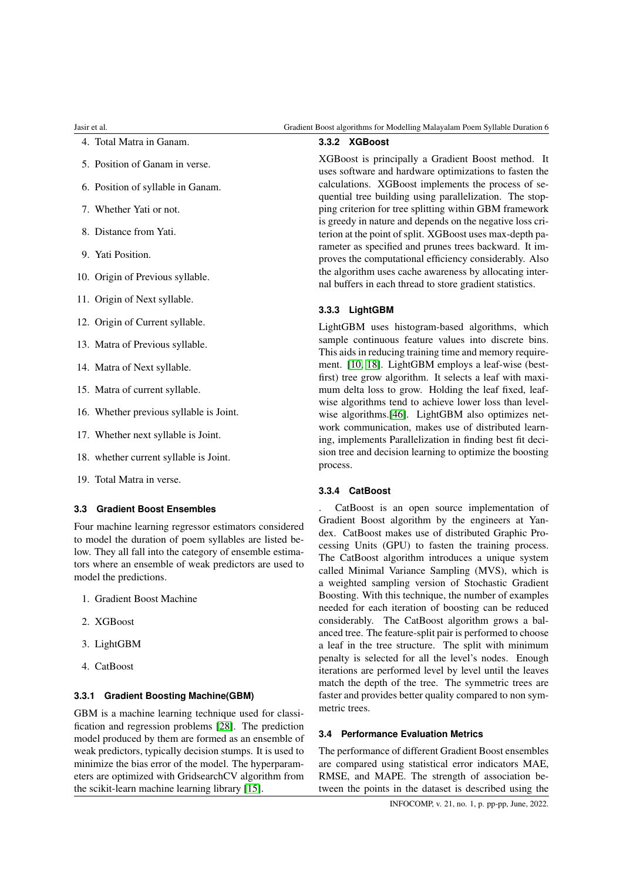- 4. Total Matra in Ganam.
- 5. Position of Ganam in verse.
- 6. Position of syllable in Ganam.
- 7. Whether Yati or not.
- 8. Distance from Yati.
- 9. Yati Position.
- 10. Origin of Previous syllable.
- 11. Origin of Next syllable.
- 12. Origin of Current syllable.
- 13. Matra of Previous syllable.
- 14. Matra of Next syllable.
- 15. Matra of current syllable.
- 16. Whether previous syllable is Joint.
- 17. Whether next syllable is Joint.
- 18. whether current syllable is Joint.
- 19. Total Matra in verse.

# **3.3 Gradient Boost Ensembles**

Four machine learning regressor estimators considered to model the duration of poem syllables are listed below. They all fall into the category of ensemble estimators where an ensemble of weak predictors are used to model the predictions.

- 1. Gradient Boost Machine
- 2. XGBoost
- 3. LightGBM
- 4. CatBoost

## **3.3.1 Gradient Boosting Machine(GBM)**

GBM is a machine learning technique used for classification and regression problems [\[28\]](#page-10-19). The prediction model produced by them are formed as an ensemble of weak predictors, typically decision stumps. It is used to minimize the bias error of the model. The hyperparameters are optimized with GridsearchCV algorithm from the scikit-learn machine learning library [\[15\]](#page-9-20).

# **3.3.2 XGBoost**

XGBoost is principally a Gradient Boost method. It uses software and hardware optimizations to fasten the calculations. XGBoost implements the process of sequential tree building using parallelization. The stopping criterion for tree splitting within GBM framework is greedy in nature and depends on the negative loss criterion at the point of split. XGBoost uses max-depth parameter as specified and prunes trees backward. It improves the computational efficiency considerably. Also the algorithm uses cache awareness by allocating internal buffers in each thread to store gradient statistics.

# **3.3.3 LightGBM**

LightGBM uses histogram-based algorithms, which sample continuous feature values into discrete bins. This aids in reducing training time and memory requirement. [\[10,](#page-9-21) [18\]](#page-9-22). LightGBM employs a leaf-wise (bestfirst) tree grow algorithm. It selects a leaf with maximum delta loss to grow. Holding the leaf fixed, leafwise algorithms tend to achieve lower loss than level-wise algorithms.<sup>[\[46\]](#page-10-20)</sup>. LightGBM also optimizes network communication, makes use of distributed learning, implements Parallelization in finding best fit decision tree and decision learning to optimize the boosting process.

#### **3.3.4 CatBoost**

. CatBoost is an open source implementation of Gradient Boost algorithm by the engineers at Yandex. CatBoost makes use of distributed Graphic Processing Units (GPU) to fasten the training process. The CatBoost algorithm introduces a unique system called Minimal Variance Sampling (MVS), which is a weighted sampling version of Stochastic Gradient Boosting. With this technique, the number of examples needed for each iteration of boosting can be reduced considerably. The CatBoost algorithm grows a balanced tree. The feature-split pair is performed to choose a leaf in the tree structure. The split with minimum penalty is selected for all the level's nodes. Enough iterations are performed level by level until the leaves match the depth of the tree. The symmetric trees are faster and provides better quality compared to non symmetric trees.

#### **3.4 Performance Evaluation Metrics**

The performance of different Gradient Boost ensembles are compared using statistical error indicators MAE, RMSE, and MAPE. The strength of association between the points in the dataset is described using the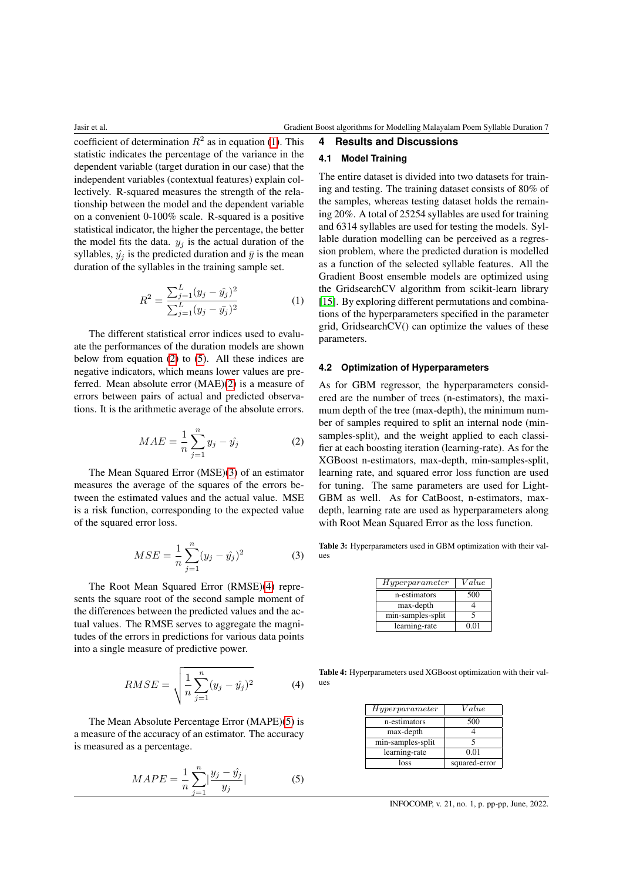coefficient of determination  $R^2$  as in equation [\(1\)](#page-6-0). This statistic indicates the percentage of the variance in the dependent variable (target duration in our case) that the independent variables (contextual features) explain collectively. R-squared measures the strength of the relationship between the model and the dependent variable on a convenient 0-100% scale. R-squared is a positive statistical indicator, the higher the percentage, the better the model fits the data.  $y_j$  is the actual duration of the syllables,  $\hat{y}_i$  is the predicted duration and  $\bar{y}$  is the mean duration of the syllables in the training sample set.

<span id="page-6-0"></span>
$$
R^{2} = \frac{\sum_{j=1}^{L} (y_{j} - \hat{y}_{j})^{2}}{\sum_{j=1}^{L} (y_{j} - \bar{y}_{j})^{2}}
$$
(1)

The different statistical error indices used to evaluate the performances of the duration models are shown below from equation [\(2\)](#page-6-1) to [\(5\)](#page-6-2). All these indices are negative indicators, which means lower values are preferred. Mean absolute error (MAE)[\(2\)](#page-6-1) is a measure of errors between pairs of actual and predicted observations. It is the arithmetic average of the absolute errors.

<span id="page-6-1"></span>
$$
MAE = \frac{1}{n} \sum_{j=1}^{n} y_j - \hat{y_j}
$$
 (2)

The Mean Squared Error (MSE)[\(3\)](#page-6-3) of an estimator measures the average of the squares of the errors between the estimated values and the actual value. MSE is a risk function, corresponding to the expected value of the squared error loss.

<span id="page-6-3"></span>
$$
MSE = \frac{1}{n} \sum_{j=1}^{n} (y_j - \hat{y}_j)^2
$$
 (3)

The Root Mean Squared Error (RMSE)[\(4\)](#page-6-4) represents the square root of the second sample moment of the differences between the predicted values and the actual values. The RMSE serves to aggregate the magnitudes of the errors in predictions for various data points into a single measure of predictive power.

<span id="page-6-4"></span>
$$
RMSE = \sqrt{\frac{1}{n} \sum_{j=1}^{n} (y_j - \hat{y}_j)^2}
$$
 (4)

The Mean Absolute Percentage Error (MAPE)[\(5\)](#page-6-2) is a measure of the accuracy of an estimator. The accuracy is measured as a percentage.

<span id="page-6-2"></span>
$$
MAPE = \frac{1}{n} \sum_{j=1}^{n} \left| \frac{y_j - \hat{y_j}}{y_j} \right|
$$
 (5)

# **4.1 Model Training**

**4 Results and Discussions**

The entire dataset is divided into two datasets for training and testing. The training dataset consists of 80% of the samples, whereas testing dataset holds the remaining 20%. A total of 25254 syllables are used for training and 6314 syllables are used for testing the models. Syllable duration modelling can be perceived as a regression problem, where the predicted duration is modelled as a function of the selected syllable features. All the Gradient Boost ensemble models are optimized using the GridsearchCV algorithm from scikit-learn library [\[15\]](#page-9-20). By exploring different permutations and combinations of the hyperparameters specified in the parameter grid, GridsearchCV() can optimize the values of these parameters.

#### **4.2 Optimization of Hyperparameters**

As for GBM regressor, the hyperparameters considered are the number of trees (n-estimators), the maximum depth of the tree (max-depth), the minimum number of samples required to split an internal node (minsamples-split), and the weight applied to each classifier at each boosting iteration (learning-rate). As for the XGBoost n-estimators, max-depth, min-samples-split, learning rate, and squared error loss function are used for tuning. The same parameters are used for Light-GBM as well. As for CatBoost, n-estimators, maxdepth, learning rate are used as hyperparameters along with Root Mean Squared Error as the loss function.

<span id="page-6-5"></span>Table 3: Hyperparameters used in GBM optimization with their values

| Hyperparameter    | Value |
|-------------------|-------|
| n-estimators      | 500   |
| max-depth         |       |
| min-samples-split | 5     |
| learning-rate     | 0.01  |

<span id="page-6-6"></span>Table 4: Hyperparameters used XGBoost optimization with their values

| Hyperparameter    | Value         |
|-------------------|---------------|
| n-estimators      | 500           |
| max-depth         |               |
| min-samples-split |               |
| learning-rate     | 0.01          |
| loss              | squared-error |

INFOCOMP, v. 21, no. 1, p. pp-pp, June, 2022.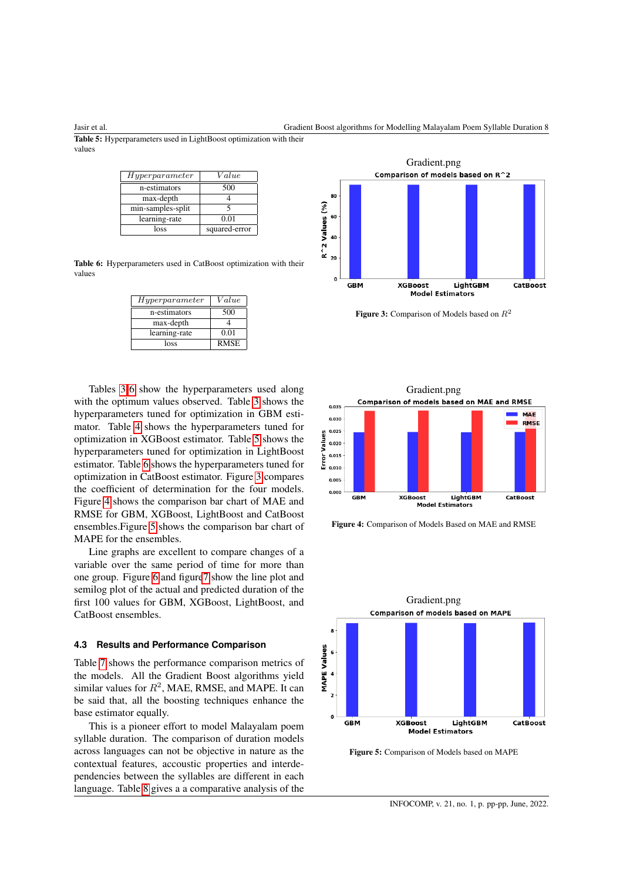<span id="page-7-1"></span>

Jasir et al. Gradient Boost algorithms for Modelling Malayalam Poem Syllable Duration 8

Table 5: Hyperparameters used in LightBoost optimization with their values

| Hyperparameter    | Value         |
|-------------------|---------------|
| n-estimators      | 500           |
| max-depth         |               |
| min-samples-split |               |
| learning-rate     | 0.01          |
| loss              | squared-error |

<span id="page-7-0"></span>Table 6: Hyperparameters used in CatBoost optimization with their values

| Hyperparameter | Value       |
|----------------|-------------|
| n-estimators   | 500         |
| max-depth      |             |
| learning-rate  | 0.01        |
| loss           | <b>RMSE</b> |

Tables [3-](#page-6-5)[6](#page-7-0) show the hyperparameters used along with the optimum values observed. Table [3](#page-6-5) shows the hyperparameters tuned for optimization in GBM estimator. Table [4](#page-6-6) shows the hyperparameters tuned for optimization in XGBoost estimator. Table [5](#page-7-1) shows the hyperparameters tuned for optimization in LightBoost estimator. Table [6](#page-7-0) shows the hyperparameters tuned for optimization in CatBoost estimator. Figure [3](#page-7-2) compares the coefficient of determination for the four models. Figure [4](#page-7-3) shows the comparison bar chart of MAE and RMSE for GBM, XGBoost, LightBoost and CatBoost ensembles.Figure [5](#page-7-4) shows the comparison bar chart of MAPE for the ensembles.

Line graphs are excellent to compare changes of a variable over the same period of time for more than one group. Figure [6](#page-8-4) and figur[e7](#page-8-5) show the line plot and semilog plot of the actual and predicted duration of the first 100 values for GBM, XGBoost, LightBoost, and CatBoost ensembles.

#### **4.3 Results and Performance Comparison**

Table [7](#page-8-6) shows the performance comparison metrics of the models. All the Gradient Boost algorithms yield similar values for  $R^2$ , MAE, RMSE, and MAPE. It can be said that, all the boosting techniques enhance the base estimator equally.

This is a pioneer effort to model Malayalam poem syllable duration. The comparison of duration models across languages can not be objective in nature as the contextual features, accoustic properties and interdependencies between the syllables are different in each language. Table [8](#page-8-7) gives a a comparative analysis of the

<span id="page-7-2"></span>

Figure 3: Comparison of Models based on  $R^2$ 

<span id="page-7-3"></span>

Figure 4: Comparison of Models Based on MAE and RMSE

<span id="page-7-4"></span>

Figure 5: Comparison of Models based on MAPE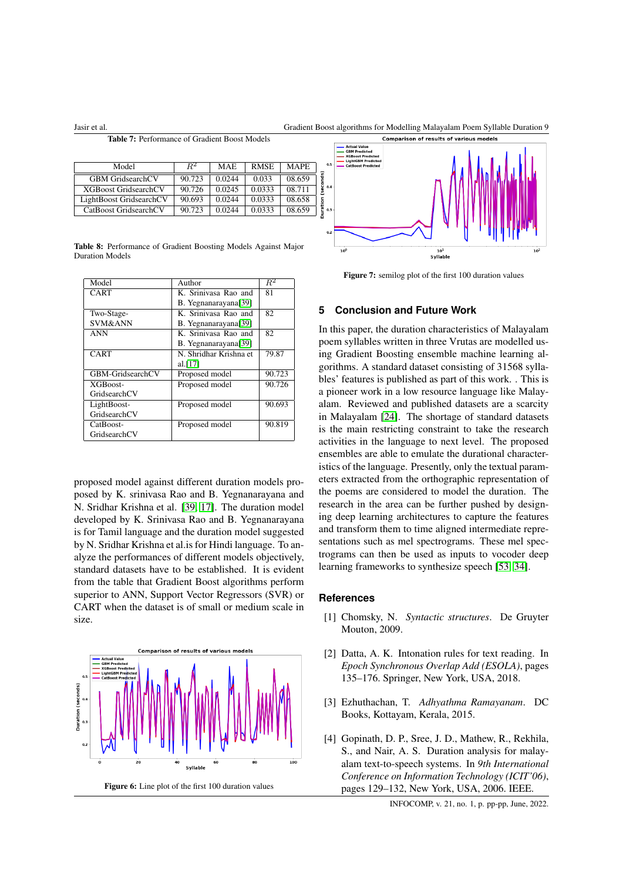<span id="page-8-6"></span>Jasir et al. Gradient Boost algorithms for Modelling Malayalam Poem Syllable Duration 9

Table 7: Performance of Gradient Boost Models

| Model                       | $R^2$  | <b>MAE</b> | <b>RMSE</b> | <b>MAPE</b> |
|-----------------------------|--------|------------|-------------|-------------|
| <b>GBM GridsearchCV</b>     | 90.723 | 0.0244     | 0.033       | 08.659      |
| <b>XGBoost GridsearchCV</b> | 90.726 | 0.0245     | 0.0333      | 08.711      |
| LightBoost GridsearchCV     | 90.693 | 0.0244     | 0.0333      | 08.658      |
| CatBoost GridsearchCV       | 90.723 | 0.0244     | 0.0333      | 08.659      |

<span id="page-8-7"></span>Table 8: Performance of Gradient Boosting Models Against Major Duration Models

| Model              | Author                 | $R^2$  |
|--------------------|------------------------|--------|
| CART               | K. Srinivasa Rao and   | 81     |
|                    | B. Yegnanarayana[39]   |        |
| Two-Stage-         | K. Sriniyasa Rao and   | 82     |
| <b>SVM&amp;ANN</b> | B. Yegnanarayana[39]   |        |
| <b>ANN</b>         | K. Sriniyasa Rao and   | 82     |
|                    | B. Yegnanarayana[39]   |        |
| CART               | N. Shridhar Krishna et | 79.87  |
|                    | al.[17]                |        |
| GBM-GridsearchCV   | Proposed model         | 90.723 |
| XGBoost-           | Proposed model         | 90.726 |
| GridsearchCV       |                        |        |
| LightBoost-        | Proposed model         | 90.693 |
| GridsearchCV       |                        |        |
| CatBoost-          | Proposed model         | 90.819 |
| GridsearchCV       |                        |        |

proposed model against different duration models proposed by K. srinivasa Rao and B. Yegnanarayana and N. Sridhar Krishna et al. [\[39,](#page-10-9) [17\]](#page-9-10). The duration model developed by K. Srinivasa Rao and B. Yegnanarayana is for Tamil language and the duration model suggested by N. Sridhar Krishna et al.is for Hindi language. To analyze the performances of different models objectively, standard datasets have to be established. It is evident from the table that Gradient Boost algorithms perform superior to ANN, Support Vector Regressors (SVR) or CART when the dataset is of small or medium scale in size.

<span id="page-8-4"></span>

<span id="page-8-5"></span>

Figure 7: semilog plot of the first 100 duration values

# **5 Conclusion and Future Work**

In this paper, the duration characteristics of Malayalam poem syllables written in three Vrutas are modelled using Gradient Boosting ensemble machine learning algorithms. A standard dataset consisting of 31568 syllables' features is published as part of this work. . This is a pioneer work in a low resource language like Malayalam. Reviewed and published datasets are a scarcity in Malayalam [\[24\]](#page-9-2). The shortage of standard datasets is the main restricting constraint to take the research activities in the language to next level. The proposed ensembles are able to emulate the durational characteristics of the language. Presently, only the textual parameters extracted from the orthographic representation of the poems are considered to model the duration. The research in the area can be further pushed by designing deep learning architectures to capture the features and transform them to time aligned intermediate representations such as mel spectrograms. These mel spectrograms can then be used as inputs to vocoder deep learning frameworks to synthesize speech [\[53,](#page-11-4) [34\]](#page-10-3).

#### <span id="page-8-2"></span>**References**

- [1] Chomsky, N. *Syntactic structures*. De Gruyter Mouton, 2009.
- <span id="page-8-1"></span>[2] Datta, A. K. Intonation rules for text reading. In *Epoch Synchronous Overlap Add (ESOLA)*, pages 135–176. Springer, New York, USA, 2018.
- <span id="page-8-3"></span>[3] Ezhuthachan, T. *Adhyathma Ramayanam*. DC Books, Kottayam, Kerala, 2015.
- <span id="page-8-0"></span>[4] Gopinath, D. P., Sree, J. D., Mathew, R., Rekhila, S., and Nair, A. S. Duration analysis for malayalam text-to-speech systems. In *9th International Conference on Information Technology (ICIT'06)*, pages 129–132, New York, USA, 2006. IEEE.

INFOCOMP, v. 21, no. 1, p. pp-pp, June, 2022.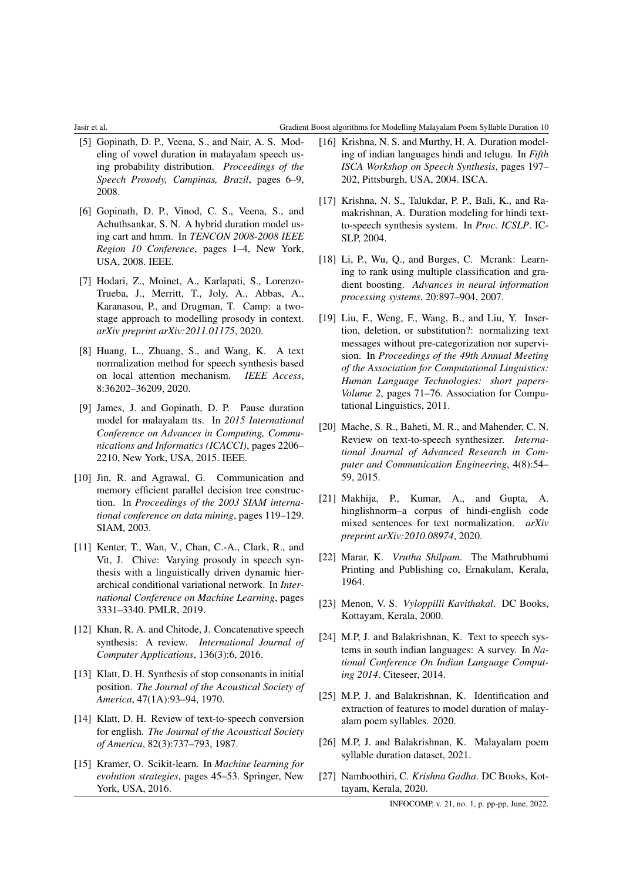#### Jasir et al. Gradient Boost algorithms for Modelling Malayalam Poem Syllable Duration 10

- <span id="page-9-12"></span>[5] Gopinath, D. P., Veena, S., and Nair, A. S. Modeling of vowel duration in malayalam speech using probability distribution. *Proceedings of the Speech Prosody, Campinas, Brazil*, pages 6–9, 2008.
- <span id="page-9-13"></span>[6] Gopinath, D. P., Vinod, C. S., Veena, S., and Achuthsankar, S. N. A hybrid duration model using cart and hmm. In *TENCON 2008-2008 IEEE Region 10 Conference*, pages 1–4, New York, USA, 2008. IEEE.
- <span id="page-9-9"></span>[7] Hodari, Z., Moinet, A., Karlapati, S., Lorenzo-Trueba, J., Merritt, T., Joly, A., Abbas, A., Karanasou, P., and Drugman, T. Camp: a twostage approach to modelling prosody in context. *arXiv preprint arXiv:2011.01175*, 2020.
- <span id="page-9-6"></span>[8] Huang, L., Zhuang, S., and Wang, K. A text normalization method for speech synthesis based on local attention mechanism. *IEEE Access*, 8:36202–36209, 2020.
- <span id="page-9-14"></span>[9] James, J. and Gopinath, D. P. Pause duration model for malayalam tts. In *2015 International Conference on Advances in Computing, Communications and Informatics (ICACCI)*, pages 2206– 2210, New York, USA, 2015. IEEE.
- <span id="page-9-21"></span>[10] Jin, R. and Agrawal, G. Communication and memory efficient parallel decision tree construction. In *Proceedings of the 2003 SIAM international conference on data mining*, pages 119–129. SIAM, 2003.
- <span id="page-9-8"></span>[11] Kenter, T., Wan, V., Chan, C.-A., Clark, R., and Vit, J. Chive: Varying prosody in speech synthesis with a linguistically driven dynamic hierarchical conditional variational network. In *International Conference on Machine Learning*, pages 3331–3340. PMLR, 2019.
- <span id="page-9-3"></span>[12] Khan, R. A. and Chitode, J. Concatenative speech synthesis: A review. *International Journal of Computer Applications*, 136(3):6, 2016.
- <span id="page-9-1"></span>[13] Klatt, D. H. Synthesis of stop consonants in initial position. *The Journal of the Acoustical Society of America*, 47(1A):93–94, 1970.
- <span id="page-9-0"></span>[14] Klatt, D. H. Review of text-to-speech conversion for english. *The Journal of the Acoustical Society of America*, 82(3):737–793, 1987.
- <span id="page-9-20"></span>[15] Kramer, O. Scikit-learn. In *Machine learning for evolution strategies*, pages 45–53. Springer, New York, USA, 2016.
- <span id="page-9-11"></span>[16] Krishna, N. S. and Murthy, H. A. Duration modeling of indian languages hindi and telugu. In *Fifth ISCA Workshop on Speech Synthesis*, pages 197– 202, Pittsburgh, USA, 2004. ISCA.
- <span id="page-9-10"></span>[17] Krishna, N. S., Talukdar, P. P., Bali, K., and Ramakrishnan, A. Duration modeling for hindi textto-speech synthesis system. In *Proc. ICSLP*. IC-SLP, 2004.
- <span id="page-9-22"></span>[18] Li, P., Wu, Q., and Burges, C. Mcrank: Learning to rank using multiple classification and gradient boosting. *Advances in neural information processing systems*, 20:897–904, 2007.
- <span id="page-9-5"></span>[19] Liu, F., Weng, F., Wang, B., and Liu, Y. Insertion, deletion, or substitution?: normalizing text messages without pre-categorization nor supervision. In *Proceedings of the 49th Annual Meeting of the Association for Computational Linguistics: Human Language Technologies: short papers-Volume 2*, pages 71–76. Association for Computational Linguistics, 2011.
- <span id="page-9-4"></span>[20] Mache, S. R., Baheti, M. R., and Mahender, C. N. Review on text-to-speech synthesizer. *International Journal of Advanced Research in Computer and Communication Engineering*, 4(8):54– 59, 2015.
- <span id="page-9-7"></span>[21] Makhija, P., Kumar, A., and Gupta, A. hinglishnorm–a corpus of hindi-english code mixed sentences for text normalization. *arXiv preprint arXiv:2010.08974*, 2020.
- <span id="page-9-19"></span>[22] Marar, K. *Vrutha Shilpam*. The Mathrubhumi Printing and Publishing co, Ernakulam, Kerala, 1964.
- <span id="page-9-17"></span>[23] Menon, V. S. *Vyloppilli Kavithakal*. DC Books, Kottayam, Kerala, 2000.
- <span id="page-9-2"></span>[24] M.P, J. and Balakrishnan, K. Text to speech systems in south indian languages: A survey. In *National Conference On Indian Language Computing 2014*. Citeseer, 2014.
- <span id="page-9-15"></span>[25] M.P, J. and Balakrishnan, K. Identification and extraction of features to model duration of malayalam poem syllables. 2020.
- <span id="page-9-18"></span>[26] M.P, J. and Balakrishnan, K. Malayalam poem syllable duration dataset, 2021.
- <span id="page-9-16"></span>[27] Namboothiri, C. *Krishna Gadha*. DC Books, Kottayam, Kerala, 2020.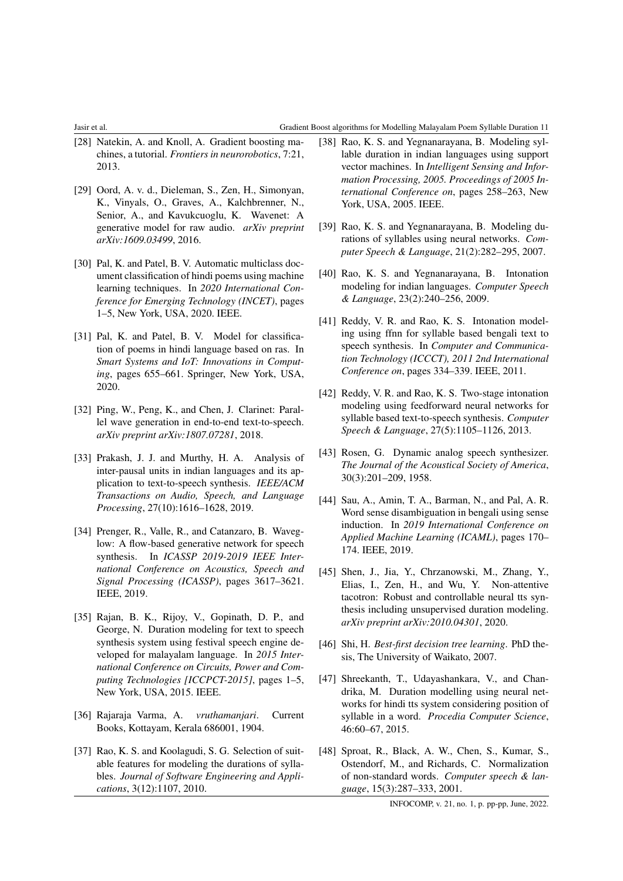#### Jasir et al. Gradient Boost algorithms for Modelling Malayalam Poem Syllable Duration 11

- <span id="page-10-19"></span>[28] Natekin, A. and Knoll, A. Gradient boosting machines, a tutorial. *Frontiers in neurorobotics*, 7:21, 2013.
- <span id="page-10-2"></span>[29] Oord, A. v. d., Dieleman, S., Zen, H., Simonyan, K., Vinyals, O., Graves, A., Kalchbrenner, N., Senior, A., and Kavukcuoglu, K. Wavenet: A generative model for raw audio. *arXiv preprint arXiv:1609.03499*, 2016.
- <span id="page-10-18"></span>[30] Pal, K. and Patel, B. V. Automatic multiclass document classification of hindi poems using machine learning techniques. In *2020 International Conference for Emerging Technology (INCET)*, pages 1–5, New York, USA, 2020. IEEE.
- <span id="page-10-17"></span>[31] Pal, K. and Patel, B. V. Model for classification of poems in hindi language based on ras. In *Smart Systems and IoT: Innovations in Computing*, pages 655–661. Springer, New York, USA, 2020.
- <span id="page-10-4"></span>[32] Ping, W., Peng, K., and Chen, J. Clarinet: Parallel wave generation in end-to-end text-to-speech. *arXiv preprint arXiv:1807.07281*, 2018.
- <span id="page-10-16"></span>[33] Prakash, J. J. and Murthy, H. A. Analysis of inter-pausal units in indian languages and its application to text-to-speech synthesis. *IEEE/ACM Transactions on Audio, Speech, and Language Processing*, 27(10):1616–1628, 2019.
- <span id="page-10-3"></span>[34] Prenger, R., Valle, R., and Catanzaro, B. Waveglow: A flow-based generative network for speech synthesis. In *ICASSP 2019-2019 IEEE International Conference on Acoustics, Speech and Signal Processing (ICASSP)*, pages 3617–3621. IEEE, 2019.
- <span id="page-10-11"></span>[35] Rajan, B. K., Rijoy, V., Gopinath, D. P., and George, N. Duration modeling for text to speech synthesis system using festival speech engine developed for malayalam language. In *2015 International Conference on Circuits, Power and Computing Technologies [ICCPCT-2015]*, pages 1–5, New York, USA, 2015. IEEE.
- <span id="page-10-1"></span>[36] Rajaraja Varma, A. *vruthamanjari*. Current Books, Kottayam, Kerala 686001, 1904.
- <span id="page-10-10"></span>[37] Rao, K. S. and Koolagudi, S. G. Selection of suitable features for modeling the durations of syllables. *Journal of Software Engineering and Applications*, 3(12):1107, 2010.
- <span id="page-10-8"></span>[38] Rao, K. S. and Yegnanarayana, B. Modeling syllable duration in indian languages using support vector machines. In *Intelligent Sensing and Information Processing, 2005. Proceedings of 2005 International Conference on*, pages 258–263, New York, USA, 2005. IEEE.
- <span id="page-10-9"></span>[39] Rao, K. S. and Yegnanarayana, B. Modeling durations of syllables using neural networks. *Computer Speech & Language*, 21(2):282–295, 2007.
- <span id="page-10-13"></span>[40] Rao, K. S. and Yegnanarayana, B. Intonation modeling for indian languages. *Computer Speech & Language*, 23(2):240–256, 2009.
- <span id="page-10-14"></span>[41] Reddy, V. R. and Rao, K. S. Intonation modeling using ffnn for syllable based bengali text to speech synthesis. In *Computer and Communication Technology (ICCCT), 2011 2nd International Conference on*, pages 334–339. IEEE, 2011.
- <span id="page-10-15"></span>[42] Reddy, V. R. and Rao, K. S. Two-stage intonation modeling using feedforward neural networks for syllable based text-to-speech synthesis. *Computer Speech & Language*, 27(5):1105–1126, 2013.
- <span id="page-10-0"></span>[43] Rosen, G. Dynamic analog speech synthesizer. *The Journal of the Acoustical Society of America*, 30(3):201–209, 1958.
- <span id="page-10-6"></span>[44] Sau, A., Amin, T. A., Barman, N., and Pal, A. R. Word sense disambiguation in bengali using sense induction. In *2019 International Conference on Applied Machine Learning (ICAML)*, pages 170– 174. IEEE, 2019.
- <span id="page-10-7"></span>[45] Shen, J., Jia, Y., Chrzanowski, M., Zhang, Y., Elias, I., Zen, H., and Wu, Y. Non-attentive tacotron: Robust and controllable neural tts synthesis including unsupervised duration modeling. *arXiv preprint arXiv:2010.04301*, 2020.
- <span id="page-10-20"></span>[46] Shi, H. *Best-first decision tree learning*. PhD thesis, The University of Waikato, 2007.
- <span id="page-10-12"></span>[47] Shreekanth, T., Udayashankara, V., and Chandrika, M. Duration modelling using neural networks for hindi tts system considering position of syllable in a word. *Procedia Computer Science*, 46:60–67, 2015.
- <span id="page-10-5"></span>[48] Sproat, R., Black, A. W., Chen, S., Kumar, S., Ostendorf, M., and Richards, C. Normalization of non-standard words. *Computer speech & language*, 15(3):287–333, 2001.